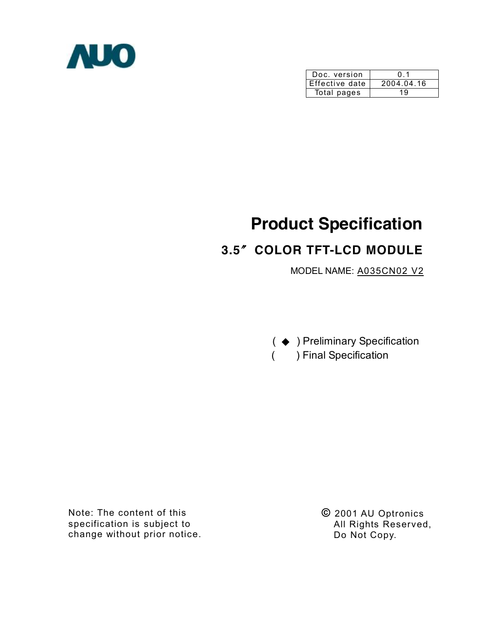

| Doc. version   | 01         |
|----------------|------------|
| Effective date | 2004.04.16 |
| Total pages    | 19         |

# **Product Specification**

# **3.5**〞**COLOR TFT-LCD MODULE**

MODEL NAME: A035CN02 V2

( ◆ ) Preliminary Specification ( ) Final Specification

Note: The content of this specification is subject to change without prior notice. **©** 2001 AU Optronics All Rights Reserved, Do Not Copy.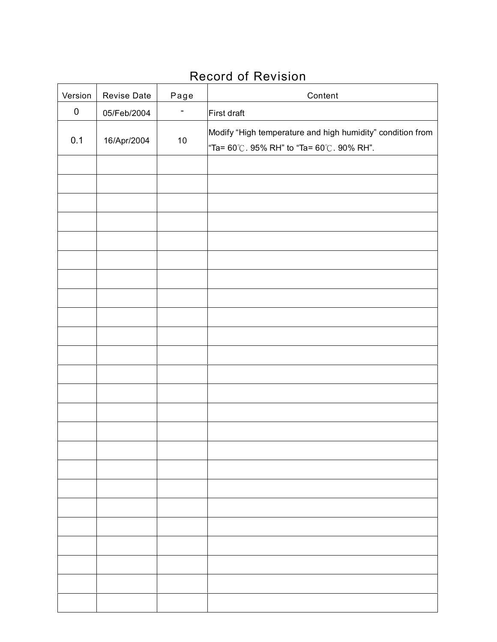# Record of Revision

| Version   | Revise Date | Page   | Content                                                                                                                     |
|-----------|-------------|--------|-----------------------------------------------------------------------------------------------------------------------------|
| $\pmb{0}$ | 05/Feb/2004 | Ξ      | First draft                                                                                                                 |
| 0.1       | 16/Apr/2004 | $10\,$ | Modify "High temperature and high humidity" condition from<br>"Ta= $60^{\circ}$ C. 95% RH" to "Ta= $60^{\circ}$ C. 90% RH". |
|           |             |        |                                                                                                                             |
|           |             |        |                                                                                                                             |
|           |             |        |                                                                                                                             |
|           |             |        |                                                                                                                             |
|           |             |        |                                                                                                                             |
|           |             |        |                                                                                                                             |
|           |             |        |                                                                                                                             |
|           |             |        |                                                                                                                             |
|           |             |        |                                                                                                                             |
|           |             |        |                                                                                                                             |
|           |             |        |                                                                                                                             |
|           |             |        |                                                                                                                             |
|           |             |        |                                                                                                                             |
|           |             |        |                                                                                                                             |
|           |             |        |                                                                                                                             |
|           |             |        |                                                                                                                             |
|           |             |        |                                                                                                                             |
|           |             |        |                                                                                                                             |
|           |             |        |                                                                                                                             |
|           |             |        |                                                                                                                             |
|           |             |        |                                                                                                                             |
|           |             |        |                                                                                                                             |
|           |             |        |                                                                                                                             |
|           |             |        |                                                                                                                             |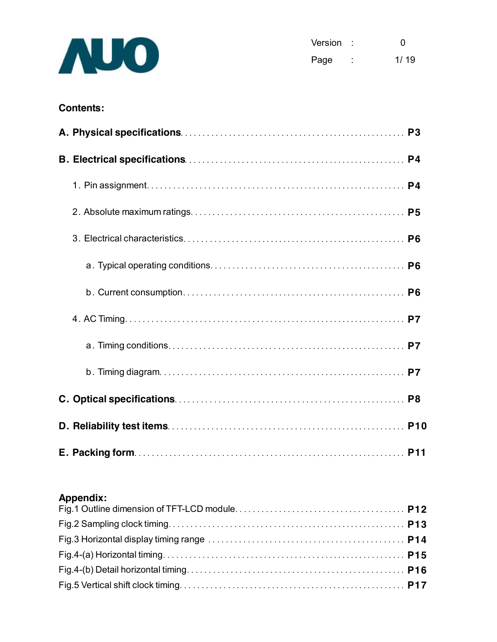

| Version |   | O    |
|---------|---|------|
| Page    | ٠ | 1/19 |

## **Contents:**

### **Appendix:**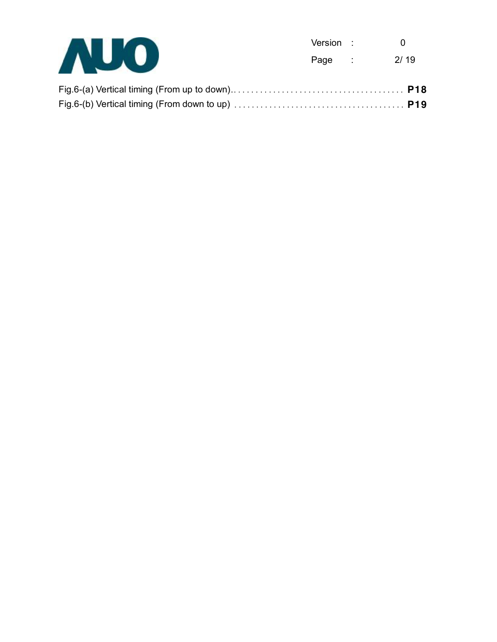

| Version |   | O    |
|---------|---|------|
| Page    | ٠ | 2/19 |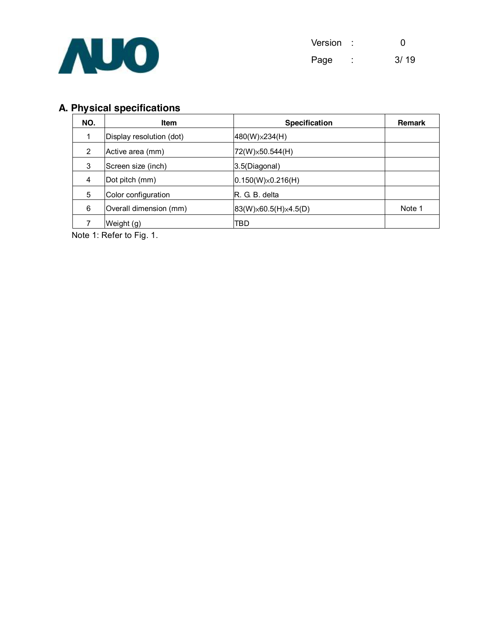

| Version |   | O    |
|---------|---|------|
| Page    | ۰ | 3/19 |

# **A. Physical specifications**

| NO. | <b>Item</b>              | <b>Specification</b>     | <b>Remark</b> |
|-----|--------------------------|--------------------------|---------------|
| 1   | Display resolution (dot) | $480(W)\times 234(H)$    |               |
| 2   | Active area (mm)         | 72(W) × 50.544(H)        |               |
| 3   | Screen size (inch)       | 3.5(Diagonal)            |               |
| 4   | Dot pitch (mm)           | $0.150(W)\times0.216(H)$ |               |
| 5   | Color configuration      | R. G. B. delta           |               |
| 6   | Overall dimension (mm)   | 83(W) × 60.5(H) × 4.5(D) | Note 1        |
|     | Weight (g)               | TBD                      |               |

Note 1: Refer to Fig. 1.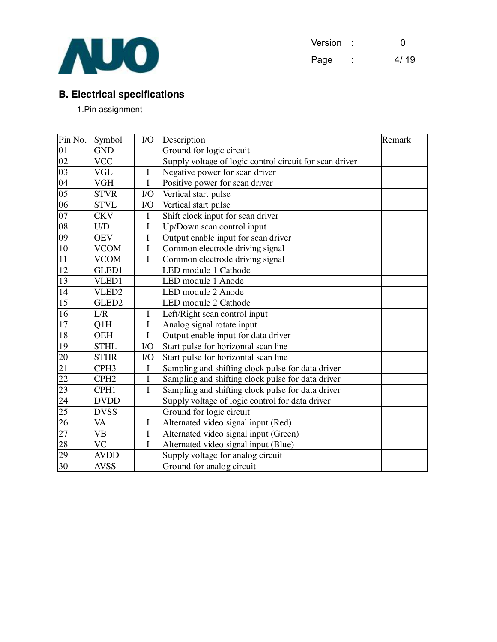

| Version |        | 0    |
|---------|--------|------|
| Page    | ٠<br>٠ | 4/19 |

## **B. Electrical specifications**

1.Pin assignment

| Pin No.         | Symbol                 | $\rm LO$    | Description                                             | Remark |
|-----------------|------------------------|-------------|---------------------------------------------------------|--------|
| $\frac{01}{02}$ | <b>GND</b>             |             | Ground for logic circuit                                |        |
|                 | <b>VCC</b>             |             | Supply voltage of logic control circuit for scan driver |        |
| 03              | <b>VGL</b>             | $\mathbf I$ | Negative power for scan driver                          |        |
| 04              | <b>VGH</b>             | I           | Positive power for scan driver                          |        |
| 05              | <b>STVR</b>            | $1/O$       | Vertical start pulse                                    |        |
| 06              | <b>STVL</b>            | $VO$        | Vertical start pulse                                    |        |
| 07              | <b>CKV</b>             | I           | Shift clock input for scan driver                       |        |
| $\overline{08}$ | U/D                    | I           | Up/Down scan control input                              |        |
| 09              | <b>OEV</b>             | I           | Output enable input for scan driver                     |        |
| 10              | <b>VCOM</b>            | I           | Common electrode driving signal                         |        |
| $\overline{11}$ | <b>VCOM</b>            | $\mathbf I$ | Common electrode driving signal                         |        |
| $\overline{12}$ | GLED1                  |             | LED module 1 Cathode                                    |        |
| 13              | VLED1                  |             | LED module 1 Anode                                      |        |
| 14              | VLED <sub>2</sub>      |             | LED module 2 Anode                                      |        |
| $\overline{15}$ | GLED <sub>2</sub>      |             | LED module 2 Cathode                                    |        |
| 16              | L/R                    | I           | Left/Right scan control input                           |        |
| 17              | Q1H                    | I           | Analog signal rotate input                              |        |
| $18\,$          | <b>OEH</b>             | I           | Output enable input for data driver                     |        |
| 19              | <b>STHL</b>            | $VO$        | Start pulse for horizontal scan line                    |        |
| 20              | <b>STHR</b>            | $1/O$       | Start pulse for horizontal scan line                    |        |
| 21              | CPH <sub>3</sub>       | $\mathbf I$ | Sampling and shifting clock pulse for data driver       |        |
| $\frac{22}{23}$ | CPH <sub>2</sub>       | I           | Sampling and shifting clock pulse for data driver       |        |
|                 | CPH1                   | I           | Sampling and shifting clock pulse for data driver       |        |
| $\overline{24}$ | <b>DVDD</b>            |             | Supply voltage of logic control for data driver         |        |
| 25              | <b>DVSS</b>            |             | Ground for logic circuit                                |        |
| 26              | VA                     | I           | Alternated video signal input (Red)                     |        |
| 27              | <b>VB</b>              | I           | Alternated video signal input (Green)                   |        |
| 28              | $\overline{\text{VC}}$ | I           | Alternated video signal input (Blue)                    |        |
| 29              | <b>AVDD</b>            |             | Supply voltage for analog circuit                       |        |
| 30              | <b>AVSS</b>            |             | Ground for analog circuit                               |        |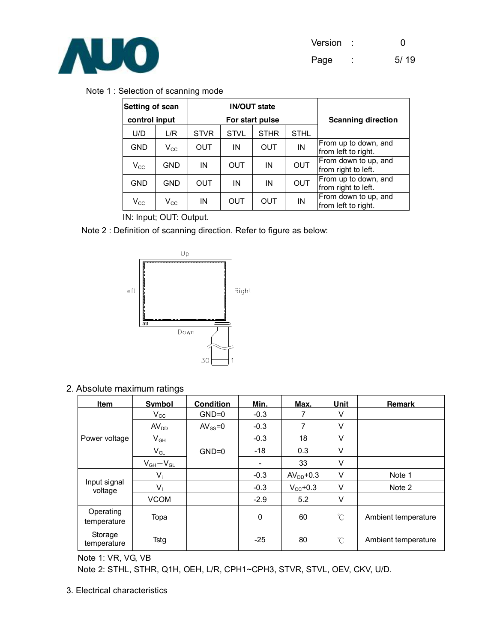

#### Note 1 : Selection of scanning mode

| Setting of scan |                  | <b>IN/OUT state</b> |             |             |                           |                                             |  |  |
|-----------------|------------------|---------------------|-------------|-------------|---------------------------|---------------------------------------------|--|--|
| control input   |                  | For start pulse     |             |             | <b>Scanning direction</b> |                                             |  |  |
| U/D             | L/R              | <b>STVR</b>         | <b>STVL</b> | <b>STHR</b> | <b>STHL</b>               |                                             |  |  |
| <b>GND</b>      | $\rm V_{\rm CC}$ | OUT                 | ΙN          | <b>OUT</b>  | IN                        | From up to down, and<br>from left to right. |  |  |
| $V_{\rm CC}$    | <b>GND</b>       | IN                  | <b>OUT</b>  | ΙN          | <b>OUT</b>                | From down to up, and<br>from right to left. |  |  |
| <b>GND</b>      | <b>GND</b>       | OUT                 | IN          | IN          | <b>OUT</b>                | From up to down, and<br>from right to left. |  |  |
| $V_{\rm CC}$    | $\rm V_{\rm CC}$ | ΙN                  | OUT         | OUT         | IN                        | From down to up, and<br>from left to right. |  |  |

IN: Input; OUT: Output.

Note 2 : Definition of scanning direction. Refer to figure as below:



2. Absolute maximum ratings

| <b>Item</b>              | <b>Symbol</b>    | <b>Condition</b> | Min.   | Max.          | Unit         | <b>Remark</b>       |
|--------------------------|------------------|------------------|--------|---------------|--------------|---------------------|
|                          | $V_{\rm CC}$     | $GND=0$          | $-0.3$ | 7             | V            |                     |
|                          | AV <sub>DD</sub> | $AV_{SS} = 0$    | $-0.3$ | 7             | V            |                     |
| Power voltage            | $V_{GH}$         |                  | $-0.3$ | 18            | V            |                     |
|                          | $V_{GL}$         | $GND=0$          | $-18$  | 0.3           | $\vee$       |                     |
|                          | $V_{GH}-V_{GL}$  |                  |        | 33            | V            |                     |
|                          | $V_i$            |                  | $-0.3$ | $AVDD+0.3$    | $\vee$       | Note 1              |
| Input signal<br>voltage  | $V_1$            |                  | $-0.3$ | $V_{CC}$ +0.3 | $\vee$       | Note 2              |
|                          | <b>VCOM</b>      |                  | $-2.9$ | 5.2           | V            |                     |
| Operating<br>temperature | Topa             |                  | 0      | 60            | $^{\circ}C$  | Ambient temperature |
| Storage<br>temperature   | Tstg             |                  | $-25$  | 80            | $^{\circ}$ C | Ambient temperature |

Note 1: VR, VG, VB

Note 2: STHL, STHR, Q1H, OEH, L/R, CPH1~CPH3, STVR, STVL, OEV, CKV, U/D.

3. Electrical characteristics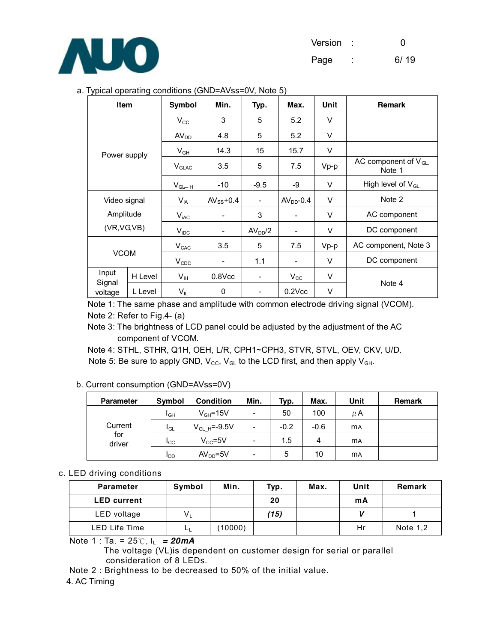

#### a. Typical operating conditions (GND=AVss=0V, Note 5)

| <b>Item</b>       |         | <b>Symbol</b>    | Min.                     | Typ.                     | Max.                     | Unit   | <b>Remark</b>                       |
|-------------------|---------|------------------|--------------------------|--------------------------|--------------------------|--------|-------------------------------------|
|                   |         | $V_{\rm CC}$     | 3                        | 5                        | 5.2                      | V      |                                     |
|                   |         | AV <sub>DD</sub> | 4.8                      | 5                        | 5.2                      | V      |                                     |
|                   |         | $V_{GH}$         | 14.3                     | 15                       | 15.7                     | $\vee$ |                                     |
| Power supply      |         | $V_{GLAC}$       | 3.5                      | 5                        | 7.5                      | $Vp-p$ | AC component of $V_{GL.}$<br>Note 1 |
|                   |         | $V_{GL-H}$       | -10                      | $-9.5$                   | -9                       | $\vee$ | High level of $V_{GL}$              |
| Video signal      |         | $V_{iA}$         | $AV_{SS}$ +0.4           | $\overline{\phantom{0}}$ | $AVDD - 0.4$             | $\vee$ | Note 2                              |
| Amplitude         |         | $V_{\text{iAC}}$ | -                        | 3                        | -                        | $\vee$ | AC component                        |
| (VR,VG,VB)        |         | $V_{\text{IDC}}$ | $\overline{\phantom{a}}$ | AV <sub>DD</sub> /2      | -                        | V      | DC component                        |
| <b>VCOM</b>       |         | V <sub>CAC</sub> | 3.5                      | 5                        | 7.5                      | $Vp-p$ | AC component, Note 3                |
|                   |         | $V_{CDC}$        | -                        | 1.1                      | $\overline{\phantom{a}}$ | $\vee$ | DC component                        |
| Input             | H Level | $V_{\text{IH}}$  | $0.8$ Vcc                | $\overline{\phantom{0}}$ | $V_{\rm CC}$             | V      |                                     |
| Signal<br>voltage | L Level | $V_{IL}$         | 0                        |                          | $0.2$ $Vcc$              | V      | Note 4                              |

Note 1: The same phase and amplitude with common electrode driving signal (VCOM). Note 2: Refer to Fig.4- (a)

Note 3: The brightness of LCD panel could be adjusted by the adjustment of the AC component of VCOM.

Note 4: STHL, STHR, Q1H, OEH, L/R, CPH1~CPH3, STVR, STVL, OEV, CKV, U/D. Note 5: Be sure to apply GND,  $V_{\text{CC}}$ ,  $V_{\text{GL}}$  to the LCD first, and then apply  $V_{\text{GH}}$ .

| b. Current consumption (GND=AVss=0V) |  |  |
|--------------------------------------|--|--|
|                                      |  |  |

| <b>Parameter</b> | Symbol          | <b>Condition</b>  | Min.                     | Typ.   | Max.   | Unit       | <b>Remark</b> |
|------------------|-----------------|-------------------|--------------------------|--------|--------|------------|---------------|
|                  | I <sub>GH</sub> | $V_{GH} = 15V$    | -                        | 50     | 100    | μA         |               |
| Current          | I <sub>GL</sub> | $V_{GL,H}$ =-9.5V | $\overline{\phantom{a}}$ | $-0.2$ | $-0.6$ | <b>MA</b>  |               |
| for<br>driver    | Icc             | $V_{CC} = 5V$     | $\overline{\phantom{a}}$ | 1.5    | 4      | <b>m</b> A |               |
|                  | l DD            | $AVDD=5V$         | $\overline{\phantom{a}}$ | 5      | 10     | <b>MA</b>  |               |

#### c. LED driving conditions

| <b>Parameter</b>     | Symbol | Min.    | Typ. | Max. | Unit | Remark   |
|----------------------|--------|---------|------|------|------|----------|
| <b>LED</b> current   |        |         | 20   |      | mA   |          |
| LED voltage          | $V_L$  |         | (15) |      |      |          |
| <b>LED Life Time</b> | LL.    | (10000) |      |      | Hr   | Note 1,2 |

Note 1 : Ta. = 25℃, IL *= 20mA* 

 The voltage (VL)is dependent on customer design for serial or parallel consideration of 8 LEDs.

Note 2 : Brightness to be decreased to 50% of the initial value.

#### 4. AC Timing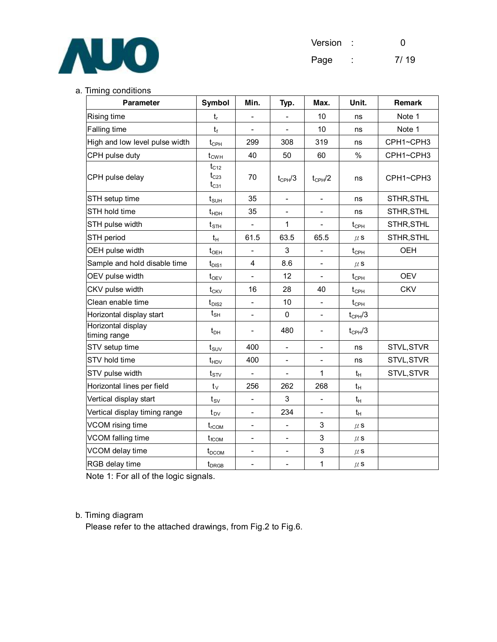

| Version |        | n    |
|---------|--------|------|
| Page    | ۰<br>٠ | 7/19 |

#### a. Timing conditions

| <b>Parameter</b>                   | Symbol                                 | Min.                     | Typ.                     | Max.                     | Unit.            | Remark     |
|------------------------------------|----------------------------------------|--------------------------|--------------------------|--------------------------|------------------|------------|
| <b>Rising time</b>                 | $t_{r}$                                |                          | $\overline{\phantom{a}}$ | 10                       | ns               | Note 1     |
| <b>Falling time</b>                | $t_{f}$                                |                          |                          | 10                       | ns               | Note 1     |
| High and low level pulse width     | $t_{\scriptscriptstyle{\mathrm{CPH}}}$ | 299                      | 308                      | 319                      | ns               | CPH1~CPH3  |
| CPH pulse duty                     | $t_{CWH}$                              | 40                       | 50                       | 60                       | %                | CPH1~CPH3  |
| CPH pulse delay                    | $t_{C12}$<br>$t_{C23}$<br>$t_{C31}$    | 70                       | $t_{CPH}/3$              | $t_{CPH}/2$              | ns               | CPH1~CPH3  |
| STH setup time                     | $t_{\scriptscriptstyle\text{SUH}}$     | 35                       | $\frac{1}{2}$            | $\overline{\phantom{a}}$ | ns               | STHR, STHL |
| STH hold time                      | $t_{\text{HDH}}$                       | 35                       | $\overline{a}$           |                          | ns               | STHR, STHL |
| STH pulse width                    | $t_{\text{STH}}$                       | $\overline{a}$           | 1                        |                          | $t_{\text{CPH}}$ | STHR, STHL |
| STH period                         | $t_H$                                  | 61.5                     | 63.5                     | 65.5                     | $\mu$ S          | STHR, STHL |
| OEH pulse width                    | $t_{OEH}$                              |                          | 3                        | $\overline{\phantom{0}}$ | $t_{\text{CPH}}$ | <b>OEH</b> |
| Sample and hold disable time       | $t_{DIS1}$                             | 4                        | 8.6                      |                          | $\mu$ S          |            |
| OEV pulse width                    | $t_{\text{OEV}}$                       | $\frac{1}{2}$            | 12                       | $\overline{\phantom{a}}$ | $t_{\text{CPH}}$ | <b>OEV</b> |
| CKV pulse width                    | $t_{CKV}$                              | 16                       | 28                       | 40                       | $t_{\text{CPH}}$ | <b>CKV</b> |
| Clean enable time                  | $t_{\rm DIS2}$                         | $\overline{\phantom{a}}$ | 10                       | $\overline{\phantom{a}}$ | $t_{\text{CPH}}$ |            |
| Horizontal display start           | $t_{\sf SH}$                           | $\overline{a}$           | 0                        |                          | $t_{CPH}/3$      |            |
| Horizontal display<br>timing range | $t_{\text{DH}}$                        | $\overline{\phantom{a}}$ | 480                      | $\overline{\phantom{0}}$ | $t_{CPH}/3$      |            |
| STV setup time                     | $t_{\scriptscriptstyle\text{SUV}}$     | 400                      | $\overline{\phantom{0}}$ | -                        | ns               | STVL, STVR |
| STV hold time                      | $t_{HDV}$                              | 400                      | $\overline{\phantom{0}}$ |                          | ns               | STVL, STVR |
| STV pulse width                    | $t_{\scriptstyle\text{STV}}$           | $\frac{1}{2}$            | $\frac{1}{2}$            | 1                        | $t_H$            | STVL, STVR |
| Horizontal lines per field         | $t_v$                                  | 256                      | 262                      | 268                      | $t_H$            |            |
| Vertical display start             | $t_{\scriptscriptstyle\text{SV}}$      | $\frac{1}{2}$            | 3                        | $\overline{a}$           | $t_{H}$          |            |
| Vertical display timing range      | $t_{\text{DV}}$                        | $\overline{\phantom{a}}$ | 234                      | $\overline{\phantom{a}}$ | $t_H$            |            |
| VCOM rising time                   | $t_{\text{rCOM}}$                      | $\overline{\phantom{a}}$ | $\overline{\phantom{0}}$ | 3                        | $\mu$ S          |            |
| VCOM falling time                  | $t_{fCOM}$                             | $\overline{\phantom{a}}$ | $\overline{\phantom{a}}$ | 3                        | $\mu$ S          |            |
| VCOM delay time                    | $t_{DCOM}$                             | $\overline{\phantom{a}}$ | $\overline{\phantom{0}}$ | 3                        | $\mu$ S          |            |
| RGB delay time                     | $t_{DRGB}$                             | $\overline{\phantom{0}}$ | $\overline{\phantom{0}}$ | $\mathbf{1}$             | $\mu$ S          |            |

Note 1: For all of the logic signals.

#### b. Timing diagram

Please refer to the attached drawings, from Fig.2 to Fig.6.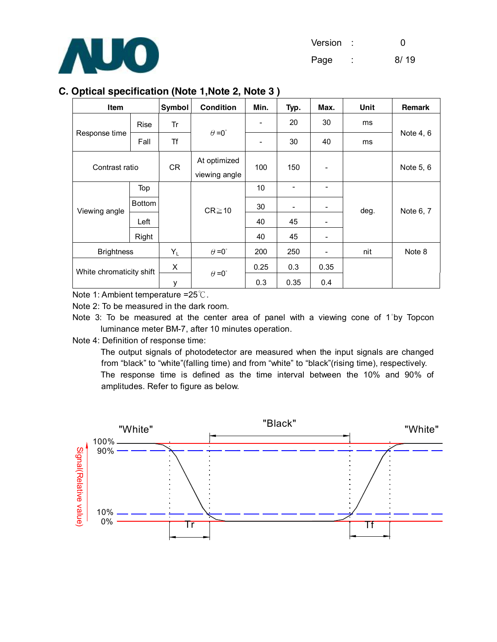

#### **C. Optical specification (Note 1,Note 2, Note 3 )**

| <b>Item</b>              |               | Symbol | <b>Condition</b>              | Min.                     | Typ.                     | Max. | Unit | Remark    |
|--------------------------|---------------|--------|-------------------------------|--------------------------|--------------------------|------|------|-----------|
|                          | Rise          | Tr     |                               | $\overline{\phantom{a}}$ | 20                       | 30   | ms   |           |
| Response time            | Fall          | Τf     | $\theta = 0^{\circ}$          | $\overline{\phantom{a}}$ | 30                       | 40   | ms   | Note 4, 6 |
| Contrast ratio           |               | CR     | At optimized<br>viewing angle | 100                      | 150                      |      |      | Note 5, 6 |
|                          | Top           |        |                               | 10                       | $\overline{\phantom{0}}$ | -    |      |           |
| Viewing angle            | <b>Bottom</b> |        | $CR \ge 10$                   | 30                       | $\overline{a}$           |      | deg. | Note 6, 7 |
|                          | Left          |        |                               | 40                       | 45                       | -    |      |           |
|                          | Right         |        |                               | 40                       | 45                       |      |      |           |
| <b>Brightness</b>        |               | YL     | $\theta = 0^{\circ}$          | 200                      | 250                      |      | nit  | Note 8    |
|                          |               | X      | $\theta = 0^{\circ}$          | 0.25                     | 0.3                      | 0.35 |      |           |
| White chromaticity shift |               | у      |                               | 0.3                      | 0.35                     | 0.4  |      |           |

Note 1: Ambient temperature =25℃.

Note 2: To be measured in the dark room.

Note 3: To be measured at the center area of panel with a viewing cone of 1°by Topcon luminance meter BM-7, after 10 minutes operation.

Note 4: Definition of response time:

The output signals of photodetector are measured when the input signals are changed from "black" to "white"(falling time) and from "white" to "black"(rising time), respectively. The response time is defined as the time interval between the 10% and 90% of amplitudes. Refer to figure as below.

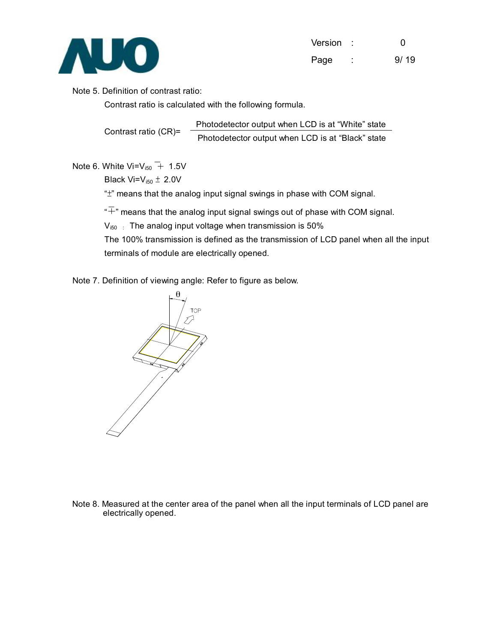

| Version |        | O    |
|---------|--------|------|
| Page    | ٠<br>۰ | 9/19 |

#### Note 5. Definition of contrast ratio:

Contrast ratio is calculated with the following formula.

Contrast ratio (CR)= Photodetector output when LCD is at "White" state Photodetector output when LCD is at "Black" state

Note 6. White Vi= $V_{i50}$  + 1.5V

Black Vi= $V_{i50} \pm 2.0V$ 

"±" means that the analog input signal swings in phase with COM signal.

 $\widetilde{\cdot}^{\#}$  means that the analog input signal swings out of phase with COM signal.

 $V_{i50}$ : The analog input voltage when transmission is 50%

The 100% transmission is defined as the transmission of LCD panel when all the input terminals of module are electrically opened.

#### Note 7. Definition of viewing angle: Refer to figure as below.



Note 8. Measured at the center area of the panel when all the input terminals of LCD panel are electrically opened.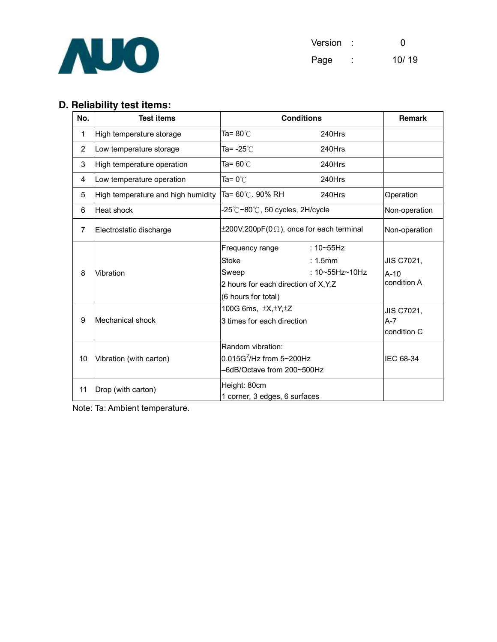

| Version : | O     |
|-----------|-------|
| Page      | 10/19 |

# **D. Reliability test items:**

| No.            | <b>Test items</b>                  | <b>Conditions</b>                                    | <b>Remark</b>  |               |
|----------------|------------------------------------|------------------------------------------------------|----------------|---------------|
| 1              | High temperature storage           | Ta= 80℃                                              | 240Hrs         |               |
| $\overline{2}$ | Low temperature storage            | Ta= -25 $^\circ\text{C}$                             | 240Hrs         |               |
| 3              | High temperature operation         | Ta= 60 $^{\circ}$ C                                  | 240Hrs         |               |
| 4              | Low temperature operation          | Ta= 0℃                                               | 240Hrs         |               |
| 5              | High temperature and high humidity | Ta= 60℃. 90% RH                                      | 240Hrs         | Operation     |
| 6              | Heat shock                         | -25℃~80℃, 50 cycles, 2H/cycle                        |                | Non-operation |
| $\overline{7}$ | Electrostatic discharge            | $\pm 200V, 200pF(0 \Omega)$ , once for each terminal |                | Non-operation |
|                |                                    | Frequency range                                      | : $10 - 55$ Hz |               |
|                |                                    | <b>Stoke</b>                                         | : 1.5mm        | JIS C7021,    |
| 8              | Vibration                          | Sweep                                                | : 10~55Hz~10Hz | $A-10$        |
|                |                                    | 2 hours for each direction of X, Y, Z                | condition A    |               |
|                |                                    | (6 hours for total)                                  |                |               |
|                |                                    | 100G 6ms, $\pm X, \pm Y, \pm Z$                      |                | JIS C7021,    |
| 9              | Mechanical shock                   | 3 times for each direction                           |                | $A - 7$       |
|                |                                    |                                                      |                | condition C   |
|                |                                    | Random vibration:                                    |                |               |
| 10             | Vibration (with carton)            | $0.015G^2$ /Hz from 5~200Hz                          | IEC 68-34      |               |
|                |                                    | -6dB/Octave from 200~500Hz                           |                |               |
| 11             | Drop (with carton)                 | Height: 80cm                                         |                |               |
|                |                                    | 1 corner, 3 edges, 6 surfaces                        |                |               |

Note: Ta: Ambient temperature.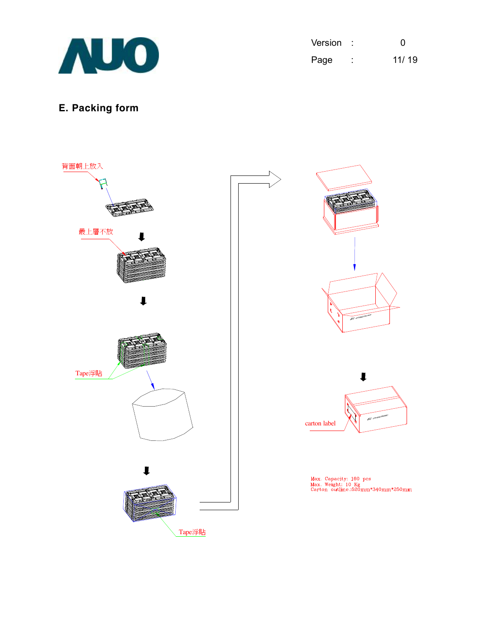

| Version | O     |
|---------|-------|
| Page    | 11/19 |

# **E. Packing form**

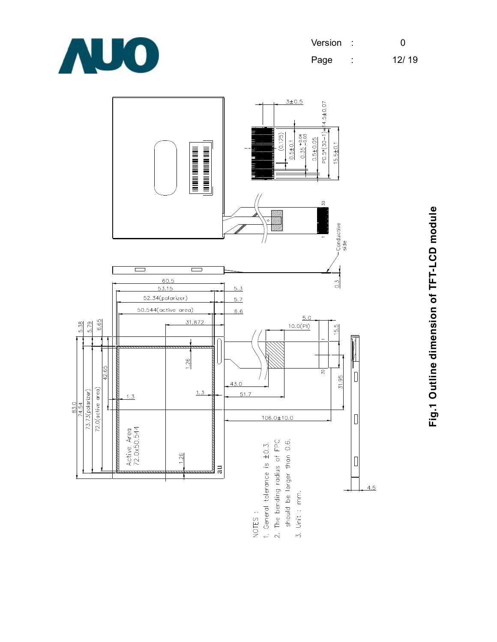

| Version | O     |
|---------|-------|
| Page    | 12/19 |



Fig.1 Outline dimension of TFT-LCD module **Fig.1 Outline dimension of TFT-LCD module**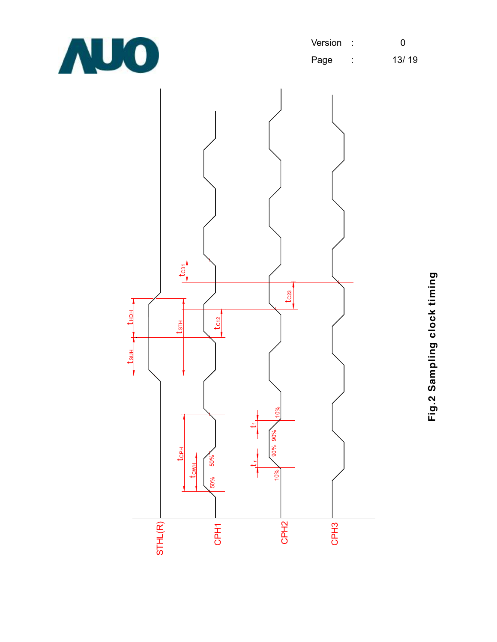

| Version | - 5 | O     |
|---------|-----|-------|
| Page    | ٠   | 13/19 |



Fig.2 Sampling clock timing **Fig.2 Sampling clock timing**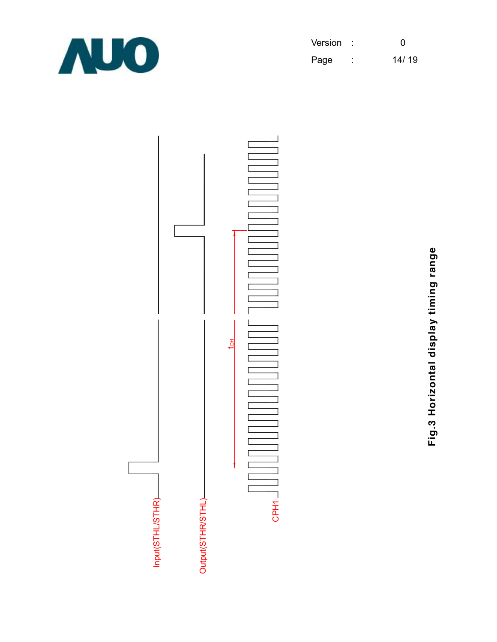

| Version |   | O     |
|---------|---|-------|
| Page    | ٠ | 14/19 |



Fig.3 Horizontal display timing range **Fig.3 Horizontal display timing range**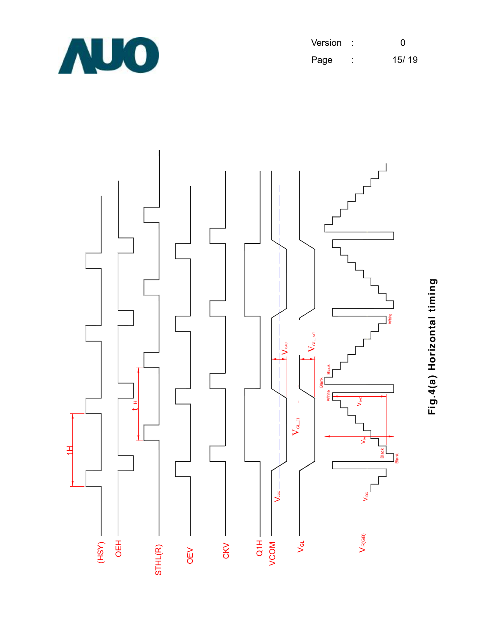

| Version | - 1    | <sup>0</sup> |
|---------|--------|--------------|
| Page    | ٠<br>٠ | 15/19        |



**Fig.4(a) H oriz o ntal timin g**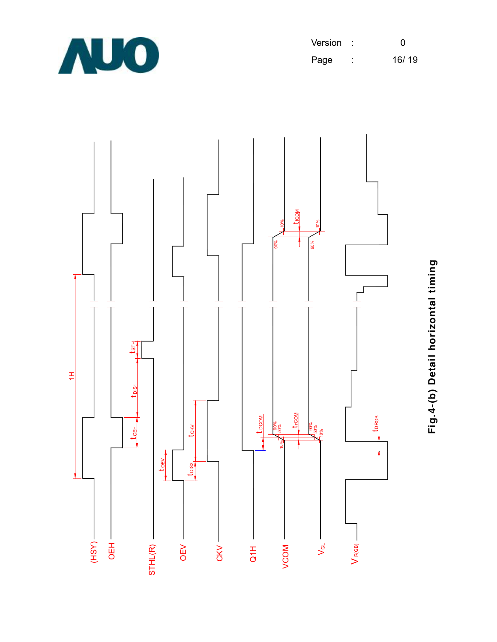

| Version |        | O     |
|---------|--------|-------|
| Page    | ٠<br>٠ | 16/19 |



**Fig.4-(b) D etail h oriz o ntal timin**

**g**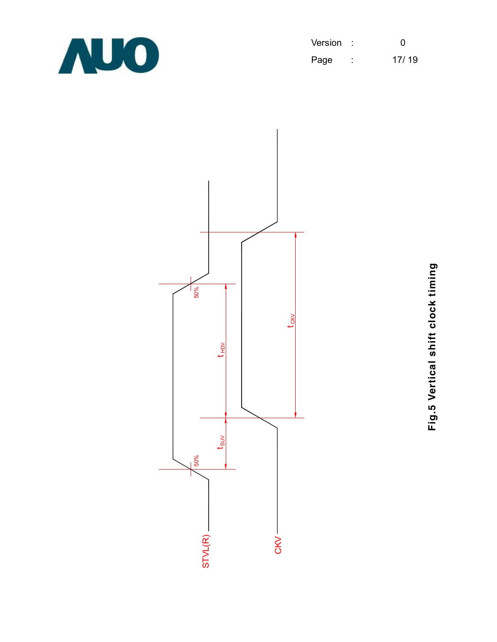

| Version |        | O     |
|---------|--------|-------|
| Page    | ٠<br>٠ | 17/19 |



**Fig.5**  $\geq$ **ertic al s hift clo c k timin g**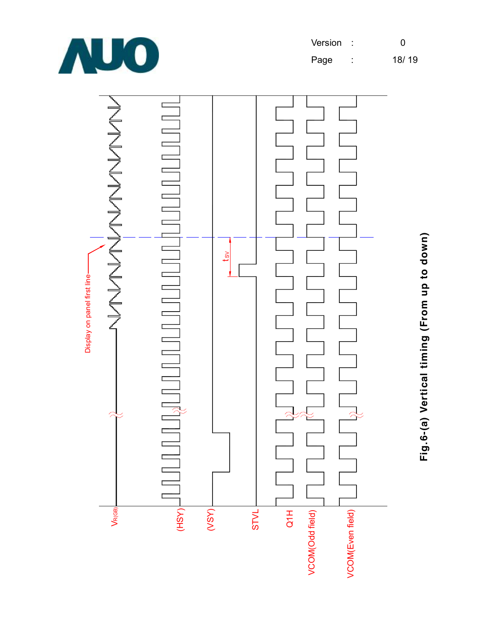



Fig.6-(a) Vertical timing (From up to down) **Fig.6-(a) Vertical timing (From up to down)**